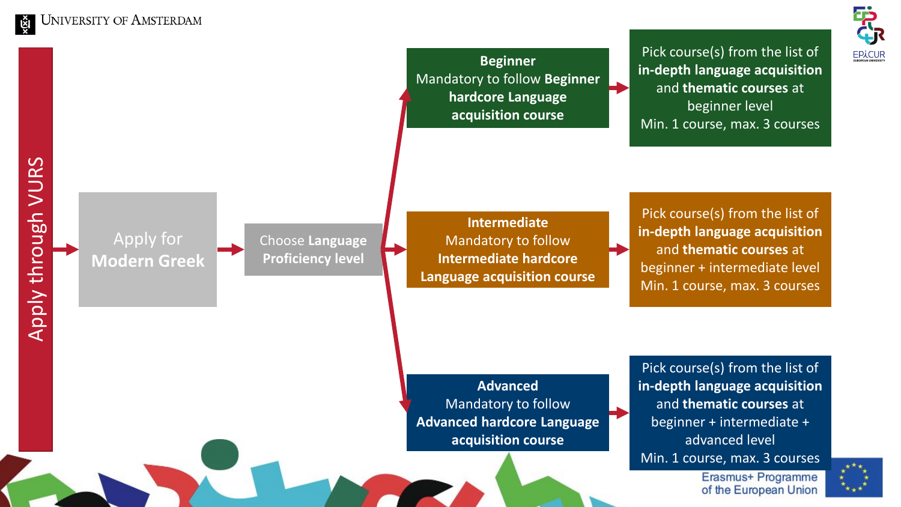**UNIVERSITY OF AMSTERDAM** 

VURS

Pick course(s) from the list of **Beginner in -depth language acquisition**  Mandatory to follow **Beginner**  and **thematic courses** at **hardcore Language**  beginner level **acquisition course** Min. 1 course, max. 3 courses Apply through VURS Pick course(s) from the list of Apply through **Intermediate in -depth language acquisition**  Apply for Choose **Language**  Mandatory to follow and **thematic courses** at **Proficiency level Intermediate hardcore Modern Greek** beginner + intermediate level **Language acquisition course** Min. 1 course, max. 3 courses Pick course(s) from the list of **Advanced in -depth language acquisition**  Mandatory to follow and **thematic courses** at **Advanced hardcore Language**  beginner + intermediate + advanced level **acquisition course** Min. 1 course, max. 3 coursesErasmus+ Programme



of the European Union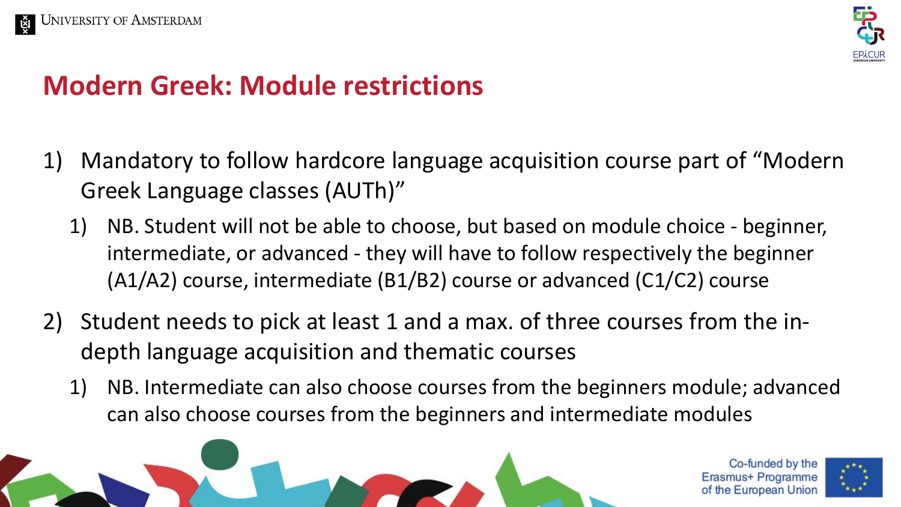



## **Modern Greek: Module restrictions**

- 1) Mandatory to follow hardcore language acquisition course part of "Modern Greek Language classes (AUTh)"
	- 1) NB. Student will not be able to choose, but based on module choice beginner, intermediate, or advanced - they will have to follow respectively the beginner (A1/A2) course, intermediate (B1/B2) course or advanced (C1/C2) course
- 2) Student needs to pick at least 1 and a max. of three courses from the indepth language acquisition and thematic courses
	- 1) NB. Intermediate can also choose courses from the beginners module; advanced can also choose courses from the beginners and intermediate modules

Co-funded by the Erasmus+ Programme **European Union** 

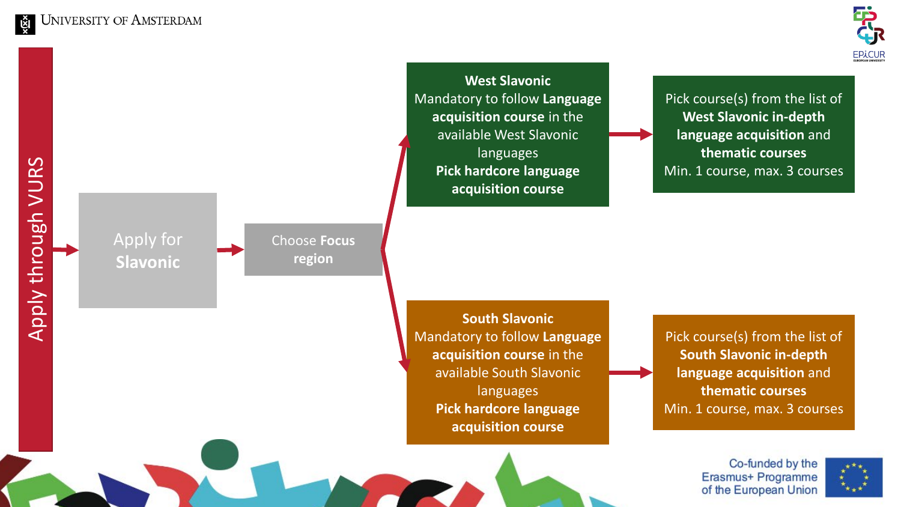Apply for

Choose **Focus** 

**region**

**Slavonic**



## VURS Apply through VURS Apply through

**x** 

**West Slavonic** Mandatory to follow **Language acquisition course** in the available West Slavonic languages **Pick hardcore language acquisition course**

Pick course(s) from the list of **West Slavonic in -depth language acquisition** and **thematic courses** Min. 1 course, max. 3 courses

**South Slavonic** Mandatory to follow **Language acquisition course** in the available South Slavonic languages **Pick hardcore language acquisition course**

Pick course(s) from the list of **South Slavonic in -depth language acquisition** and **thematic courses** Min. 1 course, max. 3 courses

> Co-funded by the Erasmus+ Programme of the European Union

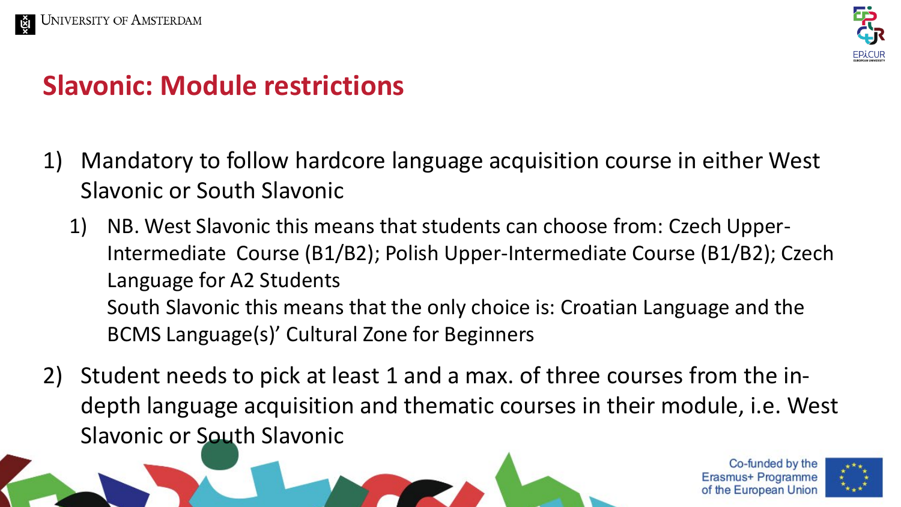



## **Slavonic: Module restrictions**

- 1) Mandatory to follow hardcore language acquisition course in either West Slavonic or South Slavonic
	- 1) NB. West Slavonic this means that students can choose from: Czech Upper-Intermediate Course (B1/B2); Polish Upper-Intermediate Course (B1/B2); Czech Language for A2 Students South Slavonic this means that the only choice is: Croatian Language and the BCMS Language(s)' Cultural Zone for Beginners
- 2) Student needs to pick at least 1 and a max. of three courses from the indepth language acquisition and thematic courses in their module, i.e. West Slavonic or South Slavonic

Co-funded by the Erasmus+ Programme of the European Union

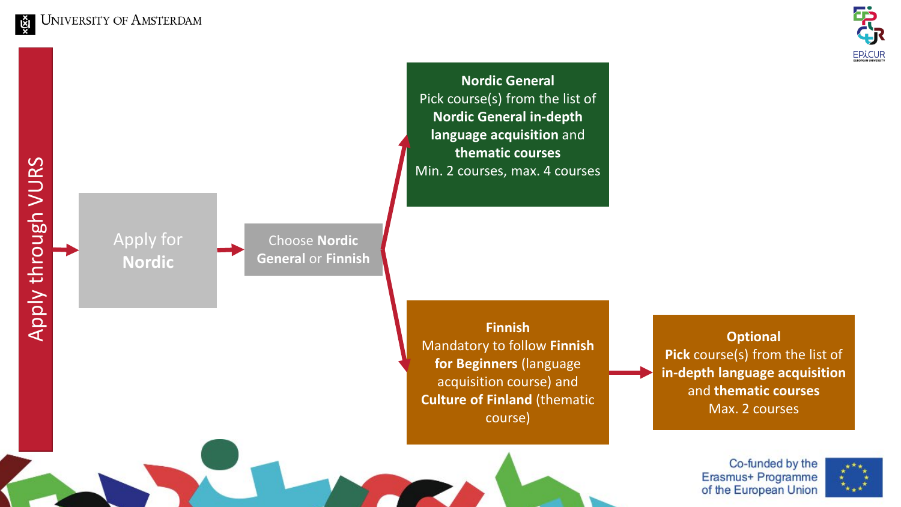

Pick course(s) from the list of **Nordic General in -depth language acquisition** and **thematic courses** Min. 2 courses, max. 4 courses

VURS Apply through VURS Apply through

Кă

Apply for **Nordic**



**Finnish** Mandatory to follow **Finnish for Beginners** (language acquisition course) and **Culture of Finland** (thematic course)

**Nordic General**

**Optional Pick** course(s) from the list of **in -depth language acquisition**  and **thematic courses** Max. 2 courses

> Co-funded by the Erasmus+ Programme of the European Union